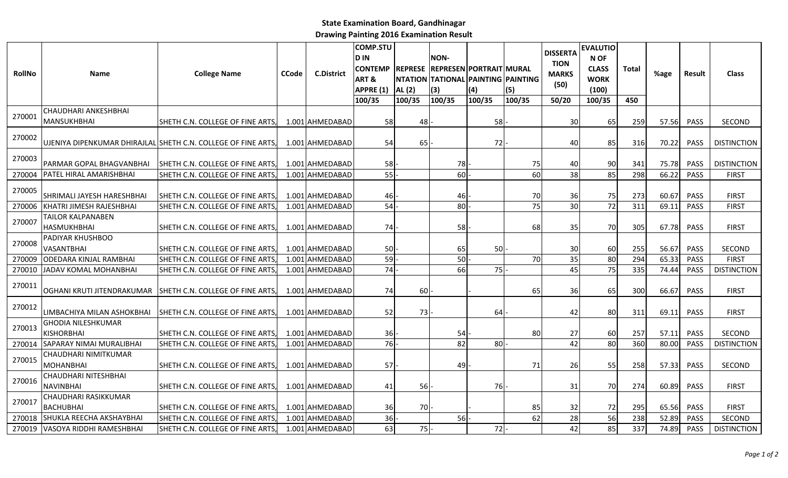## State Examination Board, Gandhinagar

Drawing Painting 2016 Examination Result

| <b>RollNo</b> | <b>Name</b>                                    | <b>College Name</b>                                           | <b>CCode</b> | <b>C.District</b> | <b>COMP.STU</b><br><b>DIN</b><br><b>CONTEMP</b><br>ART&<br>APPRE (1)<br>100/35 | AL (2)<br>100/35 | NON-<br>REPRESE REPRESEN PORTRAIT MURAL<br>NTATION TATIONAL PAINTING PAINTING<br>(3)<br>100/35 | (4)<br>100/35 | (5)<br>100/35 | <b>DISSERTA</b><br><b>TION</b><br><b>MARKS</b><br>(50)<br>50/20 | <b>EVALUTIO</b><br>N OF<br><b>CLASS</b><br><b>WORK</b><br>(100)<br>100/35 | <b>Total</b><br>450 | %age  | Result      | <b>Class</b>       |
|---------------|------------------------------------------------|---------------------------------------------------------------|--------------|-------------------|--------------------------------------------------------------------------------|------------------|------------------------------------------------------------------------------------------------|---------------|---------------|-----------------------------------------------------------------|---------------------------------------------------------------------------|---------------------|-------|-------------|--------------------|
| 270001        | CHAUDHARI ANKESHBHAI<br><b>MANSUKHBHAI</b>     | SHETH C.N. COLLEGE OF FINE ARTS,                              |              | 1.001 AHMEDABAD   | 58                                                                             | 48               |                                                                                                | 58            |               | 30                                                              | 65                                                                        | 259                 | 57.56 | <b>PASS</b> | SECOND             |
| 270002        |                                                | UJENIYA DIPENKUMAR DHIRAJLAL SHETH C.N. COLLEGE OF FINE ARTS, |              | 1.001 AHMEDABAD   | 54                                                                             | 65               |                                                                                                | 72            |               | 40                                                              | 85                                                                        | 316                 | 70.22 | <b>PASS</b> | <b>DISTINCTION</b> |
| 270003        | PARMAR GOPAL BHAGVANBHAI                       | SHETH C.N. COLLEGE OF FINE ARTS,                              |              | 1.001 AHMEDABAD   | 58                                                                             |                  | 78                                                                                             |               | 75            | 40                                                              | 90                                                                        | 341                 | 75.78 | PASS        | <b>DISTINCTION</b> |
| 270004        | PATEL HIRAL AMARISHBHAI                        | SHETH C.N. COLLEGE OF FINE ARTS                               |              | 1.001 AHMEDABAD   | 55                                                                             |                  | 60                                                                                             |               | 60            | 38                                                              | 85                                                                        | 298                 | 66.22 | PASS        | <b>FIRST</b>       |
| 270005        | SHRIMALI JAYESH HARESHBHAI                     | SHETH C.N. COLLEGE OF FINE ARTS,                              |              | 1.001 AHMEDABAD   | 46                                                                             |                  | 46                                                                                             |               | 70            | 36                                                              | 75                                                                        | 273                 | 60.67 | PASS        | <b>FIRST</b>       |
| 270006        | KHATRI JIMESH RAJESHBHAI                       | SHETH C.N. COLLEGE OF FINE ARTS                               |              | 1.001 AHMEDABAD   | 54                                                                             |                  | 80                                                                                             |               | 75            | 30                                                              | 72                                                                        | 311                 | 69.11 | PASS        | <b>FIRST</b>       |
| 270007        | TAILOR KALPANABEN<br><b>HASMUKHBHAI</b>        | SHETH C.N. COLLEGE OF FINE ARTS,                              |              | 1.001 AHMEDABAD   | 74                                                                             |                  | 58                                                                                             |               | 68            | 35                                                              | 70                                                                        | 305                 | 67.78 | PASS        | <b>FIRST</b>       |
| 270008        | PADIYAR KHUSHBOO<br><b>VASANTBHAI</b>          | SHETH C.N. COLLEGE OF FINE ARTS,                              |              | 1.001 AHMEDABAD   | <b>50</b>                                                                      |                  | 65                                                                                             | 50            |               | 30                                                              | 60                                                                        | 255                 | 56.67 | PASS        | SECOND             |
| 270009        | <b>ODEDARA KINJAL RAMBHAI</b>                  | SHETH C.N. COLLEGE OF FINE ARTS                               |              | 1.001 AHMEDABAD   | 59                                                                             |                  | 50                                                                                             |               | 70            | 35                                                              | 80                                                                        | 294                 | 65.33 | PASS        | <b>FIRST</b>       |
| 270010        | <b>JADAV KOMAL MOHANBHAI</b>                   | SHETH C.N. COLLEGE OF FINE ARTS                               |              | 1.001 AHMEDABAD   | 74                                                                             |                  | 66                                                                                             | 75            |               | 45                                                              | 75                                                                        | 335                 | 74.44 | <b>PASS</b> | <b>DISTINCTION</b> |
| 270011        | OGHANI KRUTI JITENDRAKUMAR                     | SHETH C.N. COLLEGE OF FINE ARTS                               |              | 1.001 AHMEDABAD   | 74                                                                             | 60I              |                                                                                                |               | 65            | 36                                                              | 65                                                                        | 300                 | 66.67 | <b>PASS</b> | <b>FIRST</b>       |
| 270012        | LIMBACHIYA MILAN ASHOKBHAI                     | SHETH C.N. COLLEGE OF FINE ARTS                               |              | 1.001 AHMEDABAD   | 52                                                                             | 73               |                                                                                                | 64            |               | 42                                                              | 80                                                                        | 311                 | 69.11 | <b>PASS</b> | <b>FIRST</b>       |
| 270013        | <b>GHODIA NILESHKUMAR</b><br><b>KISHORBHAI</b> | SHETH C.N. COLLEGE OF FINE ARTS                               |              | 1.001 AHMEDABAD   | 36I                                                                            |                  | 54                                                                                             |               | 80            | 27                                                              | 60                                                                        | 257                 | 57.11 | <b>PASS</b> | SECOND             |
| 270014        | <b>SAPARAY NIMAI MURALIBHAI</b>                | SHETH C.N. COLLEGE OF FINE ARTS                               |              | 1.001 AHMEDABAD   | 76                                                                             |                  | 82                                                                                             | 80            |               | 42                                                              | 80                                                                        | 360                 | 80.00 | PASS        | <b>DISTINCTION</b> |
| 270015        | CHAUDHARI NIMITKUMAR<br><b>MOHANBHAI</b>       | SHETH C.N. COLLEGE OF FINE ARTS                               |              | 1.001 AHMEDABAD   | 57                                                                             |                  | 49                                                                                             |               | 71            | 26                                                              | 55                                                                        | 258                 | 57.33 | <b>PASS</b> | SECOND             |
| 270016        | CHAUDHARI NITESHBHAI<br><b>NAVINBHAI</b>       | SHETH C.N. COLLEGE OF FINE ARTS                               |              | 1.001 AHMEDABAD   | 41                                                                             | 56               |                                                                                                | 76            |               | 31                                                              | 70                                                                        | 274                 | 60.89 | <b>PASS</b> | <b>FIRST</b>       |
| 270017        | CHAUDHARI RASIKKUMAR<br><b>BACHUBHAI</b>       | SHETH C.N. COLLEGE OF FINE ARTS,                              |              | 1.001 AHMEDABAD   | 36                                                                             | 70               |                                                                                                |               | 85            | 32                                                              | 72                                                                        | 295                 | 65.56 | <b>PASS</b> | <b>FIRST</b>       |
| 270018        | <b>SHUKLA REECHA AKSHAYBHAI</b>                | SHETH C.N. COLLEGE OF FINE ARTS                               |              | 1.001 AHMEDABAD   | 36                                                                             |                  | 56                                                                                             |               | 62            | 28                                                              | 56                                                                        | 238                 | 52.89 | PASS        | SECOND             |
|               | 270019 VASOYA RIDDHI RAMESHBHAI                | SHETH C.N. COLLEGE OF FINE ARTS                               |              | 1.001 AHMEDABAD   | 63                                                                             | 75               |                                                                                                | 72            |               | 42                                                              | 85                                                                        | 337                 | 74.89 | PASS        | <b>DISTINCTION</b> |